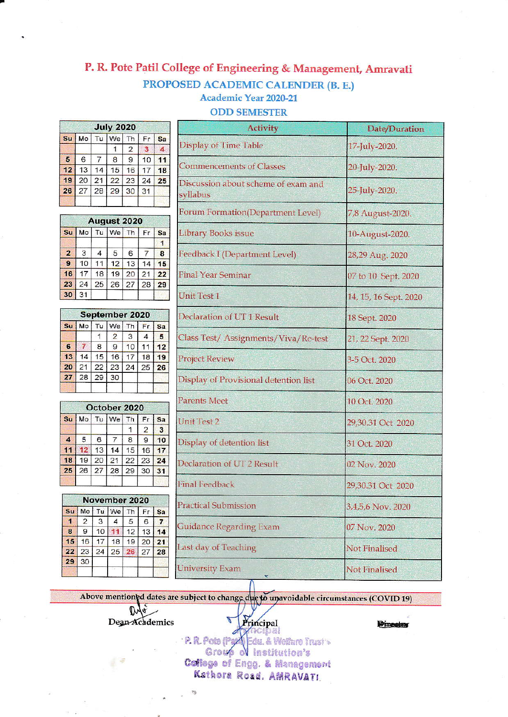## P. R. Pote Patil College of Engineering & Management, Amravati PROPOSED ACADEMIC CALENDER (B. E.) **Academic Year 2020-21**

**ODD SEMESTER** 

## **July 2020**  $Tu$  We Th  $S_{u}$ Mo  $Fr$ **Sa**  $\mathbf{1}$  $\overline{\mathbf{2}}$  $\overline{a}$  $\mathbf{3}$  $\overline{\mathbf{5}}$ 6  $\overline{7}$  $\overline{\mathbf{8}}$  $\mathbf 9$  $10$  $11$  $12$ 13  $14$  $15$ 16  $17$  $18$ 19 20  $21$  $22$ 23  $24$ 25 26 27 28  $29$ 30  $31$

|                |    |    | August 2020 |    |    |    |
|----------------|----|----|-------------|----|----|----|
| su             | Mo | Tu | We          | Th | Fr | Sa |
|                |    |    |             |    |    |    |
| $\overline{2}$ | 3  | 4  | 5           | 6  |    | 8  |
| 9              | 10 | 1  | 12          | 13 | 14 | 15 |
| 16             | 17 | 18 | 19          | 20 | 21 | 22 |
| 23             | 24 | 25 | 26          | 27 | 28 | 29 |
| 30             | 31 |    |             |    |    |    |

| September 2020 |    |    |                |    |    |    |  |  |
|----------------|----|----|----------------|----|----|----|--|--|
| S <sub>U</sub> | Mo |    | Tu We Th       |    | Fr | Sa |  |  |
|                |    |    | $\overline{2}$ | 3  | 4  | 5  |  |  |
| 6              |    | 8  | 9              | 10 | 11 | 12 |  |  |
| 13             | 14 | 15 | 16             | 17 | 18 | 19 |  |  |
| 20             | 21 | 22 | 23             | 24 | 25 | 26 |  |  |
| 27             | 28 | 29 | 30             |    |    |    |  |  |
|                |    |    |                |    |    |    |  |  |

|                         |    |    | October 2020 |                |    |    |
|-------------------------|----|----|--------------|----------------|----|----|
| Su                      | Mo | Tu | We           | Th             | Fr | Sa |
|                         |    |    |              |                | 2  | 3  |
| $\overline{\mathbf{A}}$ | 5  | 6  |              | $\overline{8}$ | 9  |    |
| 11                      |    | 13 | 14           | 15             | 16 | 17 |
| 18                      | 19 | 20 | 21           | 22             | 23 | 24 |
| 25                      | 26 | 27 | 28           | 29             | 30 | 31 |
|                         |    |    |              |                |    |    |

|                |    |    | November 2020 |    |    |    |
|----------------|----|----|---------------|----|----|----|
| S <sub>U</sub> | Mo | Tu | We            | Th | Fr | Sa |
| п              | 2  | 3  |               | 5  | 6  |    |
| 8              | 9  | 10 |               | 12 | 13 | 14 |
| 15             | 16 | 17 | 18            | 19 | 20 | 21 |
| 22             | 23 | 24 | 25            | 26 | 27 | 28 |
| 29             | 30 |    |               |    |    |    |
|                |    |    |               |    |    |    |

Dylo Dean Academics

| <b>Activity</b>                                 | Date/Duration         |  |  |  |
|-------------------------------------------------|-----------------------|--|--|--|
| <b>Display of Time Table</b>                    | 17-July-2020.         |  |  |  |
| Commencements of Classes                        | 20-July-2020.         |  |  |  |
| Discussion about scheme of exam and<br>syllabus | 25-July-2020.         |  |  |  |
| Forum Formation(Department Level)               | 7,8 August-2020.      |  |  |  |
| <b>Library Books issue</b>                      | 10-August-2020.       |  |  |  |
| Feedback I (Department Level)                   | 28,29 Aug. 2020       |  |  |  |
| <b>Final Year Seminar</b>                       | 07 to 10 Sept. 2020   |  |  |  |
| Unit Test 1                                     | 14, 15, 16 Sept. 2020 |  |  |  |
| Declaration of UT 1 Result                      | 18 Sept. 2020         |  |  |  |
| Class Test/ Assignments/Viva/Re-test            | 21, 22 Sept. 2020     |  |  |  |
| <b>Project Review</b>                           | 3-5 Oct. 2020         |  |  |  |
| Display of Provisional detention list           | 06 Oct. 2020          |  |  |  |
| <b>Parents Meet</b>                             | 10 Oct. 2020          |  |  |  |
| <b>Unit Test 2</b>                              | 29,30.31 Oct 2020     |  |  |  |
| Display of detention list                       | 31 Oct. 2020          |  |  |  |
| Declaration of UT2 Result                       | 02 Nov. 2020          |  |  |  |
| <b>Final Feedback</b>                           | 29,30.31 Oct 2020     |  |  |  |

Above mentioned dates are subject to change due to unavoidable circumstances (COVID 19) Ø Principal

**Practical Submission** 

Last day of Teaching

**University Exam** 

**Guidance Regarding Exam** 

**Director** 

3,4,5,6 Nov. 2020

07 Nov. 2020

**Not Finalised** 

**Not Finalised** 

· P. R. Pote (Pag4) Edu. & Welfare Trust's Group of Institution's College of Engg. & Management Kathora Road, AMRAVATI.